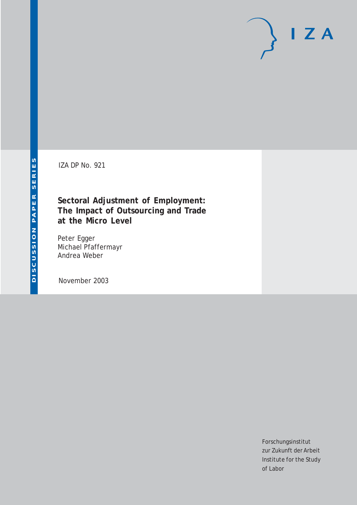# $I Z A$

IZA DP No. 921

**Sectoral Adjustment of Employment: The Impact of Outsourcing and Trade at the Micro Level**

Peter Egger Michael Pfaffermayr Andrea Weber

November 2003

Forschungsinstitut zur Zukunft der Arbeit Institute for the Study of Labor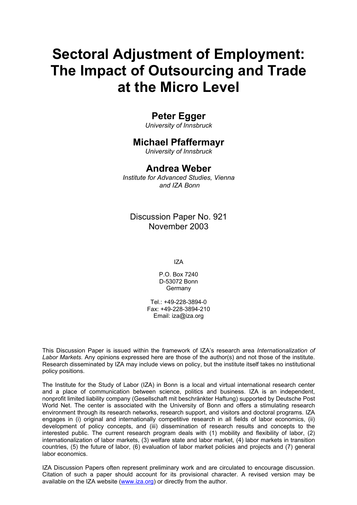# **Sectoral Adjustment of Employment: The Impact of Outsourcing and Trade at the Micro Level**

## **Peter Egger**

*University of Innsbruck* 

## **Michael Pfaffermayr**

*University of Innsbruck*

## **Andrea Weber**

*Institute for Advanced Studies, Vienna and IZA Bonn* 

Discussion Paper No. 921 November 2003

IZA

P.O. Box 7240 D-53072 Bonn **Germany** 

Tel.: +49-228-3894-0 Fax: +49-228-3894-210 Email: [iza@iza.org](mailto:iza@iza.org)

This Discussion Paper is issued within the framework of IZA's research area *Internationalization of Labor Markets.* Any opinions expressed here are those of the author(s) and not those of the institute. Research disseminated by IZA may include views on policy, but the institute itself takes no institutional policy positions.

The Institute for the Study of Labor (IZA) in Bonn is a local and virtual international research center and a place of communication between science, politics and business. IZA is an independent, nonprofit limited liability company (Gesellschaft mit beschränkter Haftung) supported by Deutsche Post World Net. The center is associated with the University of Bonn and offers a stimulating research environment through its research networks, research support, and visitors and doctoral programs. IZA engages in (i) original and internationally competitive research in all fields of labor economics, (ii) development of policy concepts, and (iii) dissemination of research results and concepts to the interested public. The current research program deals with (1) mobility and flexibility of labor, (2) internationalization of labor markets, (3) welfare state and labor market, (4) labor markets in transition countries, (5) the future of labor, (6) evaluation of labor market policies and projects and (7) general labor economics.

IZA Discussion Papers often represent preliminary work and are circulated to encourage discussion. Citation of such a paper should account for its provisional character. A revised version may be available on the IZA website ([www.iza.org](http://www.iza.org/)) or directly from the author.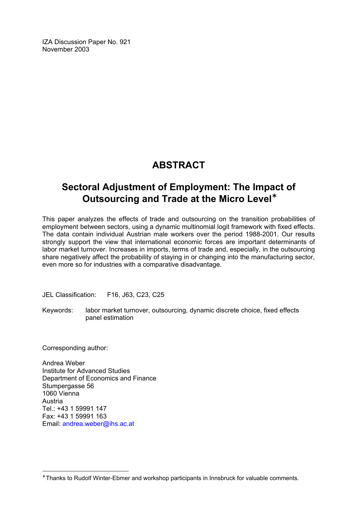IZA Discussion Paper No. 921 November 2003

## **ABSTRACT**

## **Sectoral Adjustment of Employment: The Impact of Outsourcing and Trade at the Micro Level**[∗](#page-2-0)

This paper analyzes the effects of trade and outsourcing on the transition probabilities of employment between sectors, using a dynamic multinomial logit framework with fixed effects. The data contain individual Austrian male workers over the period 1988-2001. Our results strongly support the view that international economic forces are important determinants of labor market turnover. Increases in imports, terms of trade and, especially, in the outsourcing share negatively affect the probability of staying in or changing into the manufacturing sector, even more so for industries with a comparative disadvantage.

JEL Classification: F16, J63, C23, C25

Keywords: labor market turnover, outsourcing, dynamic discrete choice, fixed effects panel estimation

Corresponding author:

 $\overline{a}$ 

Andrea Weber Institute for Advanced Studies Department of Economics and Finance Stumpergasse 56 1060 Vienna Austria Tel.: +43 1 59991 147 Fax: +43 1 59991 163 Email: [andrea.weber@ihs.ac.at](mailto:andrea.weber@ihs.ac.at) 

<span id="page-2-0"></span><sup>∗</sup> Thanks to Rudolf Winter-Ebmer and workshop participants in Innsbruck for valuable comments.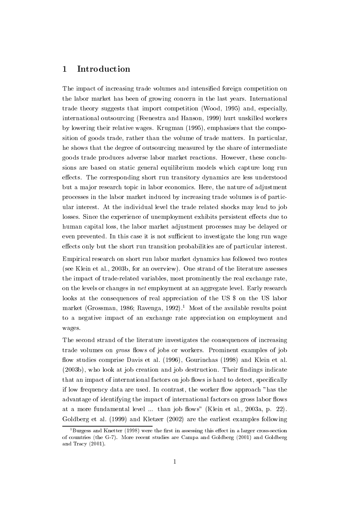#### Introduction  $\mathbf 1$

The impact of increasing trade volumes and intensified foreign competition on the labor market has been of growing concern in the last years. International trade theory suggests that import competition (Wood, 1995) and, especially, international outsourcing (Feenestra and Hanson, 1999) hurt unskilled workers by lowering their relative wages. Krugman (1995), emphasizes that the composition of goods trade, rather than the volume of trade matters. In particular, he shows that the degree of outsourcing measured by the share of intermediate goods trade produces adverse labor market reactions. However, these conclusions are based on static general equilibrium models which capture long run effects. The corresponding short run transitory dynamics are less understood but a major research topic in labor economics. Here, the nature of adjustment processes in the labor market induced by increasing trade volumes is of particular interest. At the individual level the trade related shocks may lead to job losses. Since the experience of unemployment exhibits persistent effects due to human capital loss, the labor market adjustment processes may be delayed or even prevented. In this case it is not sufficient to investigate the long run wage effects only but the short run transition probabilities are of particular interest.

Empirical research on short run labor market dynamics has followed two routes (see Klein et al., 2003b, for an overview). One strand of the literature assesses the impact of trade-related variables, most prominently the real exchange rate, on the levels or changes in net employment at an aggregate level. Early research looks at the consequences of real appreciation of the US \$ on the US labor market (Grossman, 1986; Ravenga, 1992).<sup>1</sup> Most of the available results point to a negative impact of an exchange rate appreciation on employment and wages.

The second strand of the literature investigates the consequences of increasing trade volumes on *gross* flows of jobs or workers. Prominent examples of job flow studies comprise Davis et al. (1996). Gourinchas (1998) and Klein et al. (2003b), who look at job creation and job destruction. Their findings indicate that an impact of international factors on job flows is hard to detect, specifically if low frequency data are used. In contrast, the worker flow approach "has the advantage of identifying the impact of international factors on gross labor flows at a more fundamental level ... than job flows" (Klein et al., 2003a, p. 22). Goldberg et al. (1999) and Kletzer (2002) are the earliest examples following

 ${}^{1}$ Burgess and Knetter (1998) were the first in assessing this effect in a larger cross-section of countries (the G-7). More recent studies are Campa and Goldberg (2001) and Goldberg and Tracy  $(2001)$ .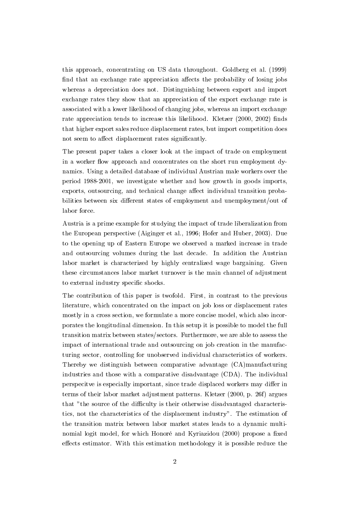this approach, concentrating on US data throughout. Goldberg et al. (1999) find that an exchange rate appreciation affects the probability of losing jobs whereas a depreciation does not. Distinguishing between export and import exchange rates they show that an appreciation of the export exchange rate is associated with a lower likelihood of changing jobs, whereas an import exchange rate appreciation tends to increase this likelihood. Kletzer (2000, 2002) finds that higher export sales reduce displacement rates, but import competition does not seem to affect displacement rates significantly.

The present paper takes a closer look at the impact of trade on employment in a worker flow approach and concentrates on the short run employment dynamics. Using a detailed database of individual Austrian male workers over the period 1988-2001, we investigate whether and how growth in goods imports, exports, outsourcing, and technical change affect individual transition probabilities between six different states of employment and unemployment/out of labor force.

Austria is a prime example for studying the impact of trade liberalization from the European perspective (Aiginger et al., 1996; Hofer and Huber, 2003). Due to the opening up of Eastern Europe we observed a marked increase in trade and outsourcing volumes during the last decade. In addition the Austrian labor market is characterized by highly centralized wage bargaining. Given these circumstances labor market turnover is the main channel of adjustment to external industry specific shocks.

The contribution of this paper is twofold. First, in contrast to the previous literature, which concentrated on the impact on job loss or displacement rates mostly in a cross section, we formulate a more concise model, which also incorporates the longitudinal dimension. In this setup it is possible to model the full transition matrix between states/sectors. Furthermore, we are able to assess the impact of international trade and outsourcing on job creation in the manufacturing sector, controlling for unobserved individual characteristics of workers. Thereby we distinguish between comparative advantage (CA)manufacturing industries and those with a comparative disadvantage (CDA). The individual perspecitve is especially important, since trade displaced workers may differ in terms of their labor market adjustment patterns. Kletzer (2000, p. 26f) argues that "the source of the difficulty is their otherwise disadvantaged characteristics, not the characteristics of the displacement industry". The estimation of the transition matrix between labor market states leads to a dynamic multinomial logit model, for which Honoré and Kyriazidou (2000) propose a fixed effects estimator. With this estimation methodology it is possible reduce the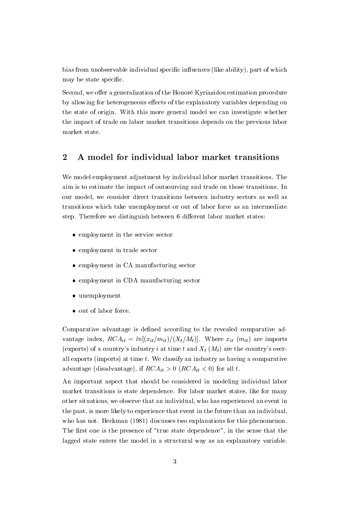bias from unobservable individual specific influences (like ability), part of which may be state specific.

Second, we offer a generalization of the Honoré Kyriazidou estimation procedure by allowing for heterogeneous effects of the explanatory variables depending on the state of origin. With this more general model we can investigate whether the impact of trade on labor market transitions depends on the previous labor market state.

#### $\overline{2}$ A model for individual labor market transitions

We model employment adjustment by individual labor market transitions. The aim is to estimate the impact of outsourcing and trade on those transitions. In our model, we consider direct transitions between industry sectors as well as transitions which take unemployment or out of labor force as an intermediate step. Therefore we distinguish between 6 different labor market states:

- employment in the service sector
- employment in trade sector
- employment in CA manufacturing sector
- $\bullet$  employment in CDA manufacturing sector
- $\bullet$  unemployment
- out of labor force.

Comparative advantage is defined according to the revealed comparative advantage index,  $RCA_{it} = ln[(x_{it}/m_{it})/(X_t/M_t)]$ . Where  $x_{it}$  ( $m_{it}$ ) are imports (exports) of a country's industry *i* at time *t* and  $X_t$  ( $M_t$ ) are the country's overall exports (imports) at time  $t$ . We classify an industry as having a comparative advantage (disadvantage), if  $RCA_{it} > 0$  ( $RCA_{it} < 0$ ) for all t.

An important aspect that should be considered in modeling individual labor market transitions is state dependence. For labor market states, like for many other situations, we observe that an individual, who has experienced an event in the past, is more likely to experience that event in the future than an individual, who has not. Heckman (1981) discusses two explanations for this phenomenon. The first one is the presence of "true state dependence", in the sense that the lagged state enters the model in a structural way as an explanatory variable.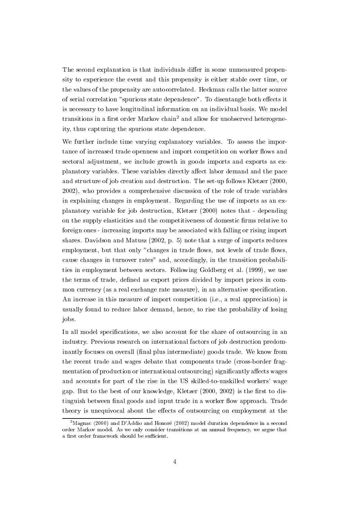The second explanation is that individuals differ in some unmeasured propensity to experience the event and this propensity is either stable over time, or the values of the propensity are autocorrelated. Heckman calls the latter source of serial correlation "spurious state dependence". To disentangle both effects it is necessary to have longitudinal information on an individual basis. We model transitions in a first order Markov chain<sup>2</sup> and allow for unobserved heterogeneity, thus capturing the spurious state dependence.

We further include time varying explanatory variables. To assess the importance of increased trade openness and import competition on worker flows and sectoral adjustment, we include growth in goods imports and exports as explanatory variables. These variables directly affect labor demand and the pace and structure of job creation and destruction. The set-up follows Kletzer (2000, 2002), who provides a comprehensive discussion of the role of trade variables in explaining changes in employment. Regarding the use of imports as an explanatory variable for job destruction, Kletzer (2000) notes that - depending on the supply elasticities and the competitiveness of domestic firms relative to foreign ones - increasing imports may be associated with falling or rising import shares. Davidson and Matusz  $(2002, p. 5)$  note that a surge of imports reduces employment, but that only "changes in trade flows, not levels of trade flows, cause changes in turnover rates" and, accordingly, in the transition probabilities in employment between sectors. Following Goldberg et al. (1999), we use the terms of trade, defined as export prices divided by import prices in common currency (as a real exchange rate measure), in an alternative specification. An increase in this measure of import competition (i.e., a real appreciation) is usually found to reduce labor demand, hence, to rise the probability of losing jobs.

In all model specifications, we also account for the share of outsourcing in an industry. Previous research on international factors of job destruction predominantly focuses on overall (final plus intermediate) goods trade. We know from the recent trade and wages debate that components trade (cross-border fragmentation of production or international outsourcing) significantly affects wages and accounts for part of the rise in the US skilled-to-unskilled workers' wage gap. But to the best of our knowledge, Kletzer (2000, 2002) is the first to distinguish between final goods and input trade in a worker flow approach. Trade theory is unequivocal about the effects of outsourcing on employment at the

 $^{2}$ Magnac (2000) and D'Addio and Honoré (2002) model duration dependence in a second order Markov model. As we only consider transitions at an annual frequency, we argue that a first order framework should be sufficient.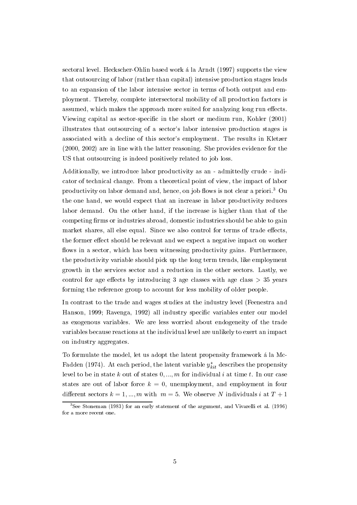sectoral level. Heckscher-Ohlin based work á la Arndt (1997) supports the view that outsourcing of labor (rather than capital) intensive production stages leads to an expansion of the labor intensive sector in terms of both output and employment. Thereby, complete intersectoral mobility of all production factors is assumed, which makes the approach more suited for analyzing long run effects. Viewing capital as sector-specific in the short or medium run, Kohler (2001) illustrates that outsourcing of a sector's labor intensive production stages is associated with a decline of this sector's employment. The results in Kletzer  $(2000, 2002)$  are in line with the latter reasoning. She provides evidence for the US that outsourcing is indeed positively related to job loss.

Additionally, we introduce labor productivity as an - admittedly crude - indicator of technical change. From a theoretical point of view, the impact of labor productivity on labor demand and, hence, on job flows is not clear a priori.<sup>3</sup> On the one hand, we would expect that an increase in labor productivity reduces labor demand. On the other hand, if the increase is higher than that of the competing firms or industries abroad, domestic industries should be able to gain market shares, all else equal. Since we also control for terms of trade effects, the former effect should be relevant and we expect a negative impact on worker flows in a sector, which has been witnessing productivity gains. Furthermore, the productivity variable should pick up the long term trends, like employment growth in the services sector and a reduction in the other sectors. Lastly, we control for age effects by introducing 3 age classes with age class  $> 35$  years forming the reference group to account for less mobility of older people.

In contrast to the trade and wages studies at the industry level (Feenestra and Hanson, 1999; Ravenga, 1992) all industry specific variables enter our model as exogenous variables. We are less worried about endogeneity of the trade variables because reactions at the individual level are unlikely to exert an impact on industry aggregates.

To formulate the model, let us adopt the latent propensity framework a la Mc-Fadden (1974). At each period, the latent variable  $y_{kit}^*$  describes the propensity level to be in state k out of states  $0, ..., m$  for individual i at time t. In our case states are out of labor force  $k = 0$ , unemployment, and employment in four different sectors  $k = 1, ..., m$  with  $m = 5$ . We observe N individuals i at  $T + 1$ 

 $3$ See Stoneman (1983) for an early statement of the argument, and Vivarelli et al. (1996) for a more recent one.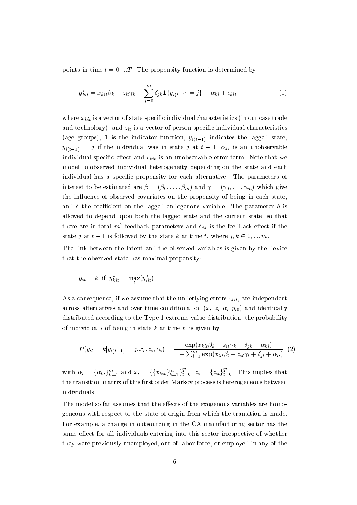points in time  $t = 0, ...T$ . The propensity function is determined by

$$
y_{kit}^* = x_{kit}\beta_k + z_{it}\gamma_k + \sum_{j=0}^m \delta_{jk}\mathbf{1}\{y_{i(t-1)} = j\} + \alpha_{ki} + \epsilon_{kit}
$$
\n(1)

where  $x_{kit}$  is a vector of state specific individual characteristics (in our case trade and technology), and  $z_{it}$  is a vector of person specific individual characteristics (age groups), 1 is the indicator function,  $y_{i(t-1)}$  indicates the lagged state,  $y_{i(t-1)} = j$  if the individual was in state j at  $t-1$ ,  $\alpha_{ki}$  is an unobservable individual specific effect and  $\epsilon_{kit}$  is an unobservable error term. Note that we model unobserved individual heterogeneity depending on the state and each individual has a specific propensity for each alternative. The parameters of interest to be estimated are  $\beta = (\beta_0, \dots, \beta_m)$  and  $\gamma = (\gamma_0, \dots, \gamma_m)$  which give the influence of observed covariates on the propensity of being in each state, and  $\delta$  the coefficient on the lagged endogenous variable. The parameter  $\delta$  is allowed to depend upon both the lagged state and the current state, so that there are in total  $m^2$  feedback parameters and  $\delta_{ik}$  is the feedback effect if the state j at  $t-1$  is followed by the state k at time t, where  $j, k \in 0, ..., m$ .

The link between the latent and the observed variables is given by the device that the observed state has maximal propensity:

$$
y_{it} = k \text{ if } y_{kit}^* = \max(y_{lit}^*)
$$

As a consequence, if we assume that the underlying errors  $\epsilon_{kit}$ , are independent across alternatives and over time conditional on  $(x_i, z_i, \alpha_i, y_{i0})$  and identically distributed according to the Type 1 extreme value distribution, the probability of individual i of being in state  $k$  at time  $t$ , is given by

$$
P(y_{it} = k|y_{i(t-1)} = j, x_i, z_i, \alpha_i) = \frac{\exp(x_{kit}\beta_k + z_{it}\gamma_k + \delta_{jk} + \alpha_{ki})}{1 + \sum_{l=1}^m \exp(x_{lit}\beta_l + z_{it}\gamma_l + \delta_{jl} + \alpha_{li})} \tag{2}
$$

with  $\alpha_i = {\alpha_{ki}}_{k=1}^m$  and  $x_i = {\alpha_{ki}}_{k=1}^m}_{k=1}^m$ ,  $z_i = {z_{it}}_{t=0}^T$ . This implies that the transition matrix of this first order Markov process is heterogeneous between individuals.

The model so far assumes that the effects of the exogenous variables are homogeneous with respect to the state of origin from which the transition is made. For example, a change in outsourcing in the CA manufacturing sector has the same effect for all individuals entering into this sector irrespective of whether they were previously unemployed, out of labor force, or employed in any of the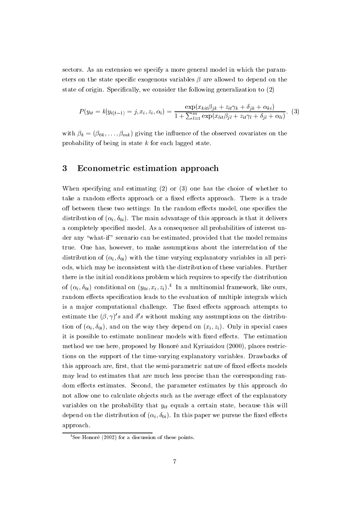sectors. As an extension we specify a more general model in which the parameters on the state specific exogenous variables  $\beta$  are allowed to depend on the state of origin. Specifically, we consider the following generalization to (2)

$$
P(y_{it} = k|y_{i(t-1)} = j, x_i, z_i, \alpha_i) = \frac{\exp(x_{kit}\beta_{jk} + z_{it}\gamma_k + \delta_{jk} + \alpha_{ki})}{1 + \sum_{l=1}^{m} \exp(x_{lit}\beta_{jl} + z_{it}\gamma_l + \delta_{jl} + \alpha_{li})}.
$$
 (3)

with  $\beta_k = (\beta_{0k}, \dots, \beta_{mk})$  giving the influence of the observed covariates on the probability of being in state  $k$  for each lagged state.

#### 3 Econometric estimation approach

When specifying and estimating  $(2)$  or  $(3)$  one has the choice of whether to take a random effects approach or a fixed effects approach. There is a trade off between these two settings: In the random effects model, one specifies the distribution of  $(\alpha_i, \delta_{0i})$ . The main advantage of this approach is that it delivers a completely specified model. As a consequence all probabilities of interest under any "what-if" scenario can be estimated, provided that the model remains true. One has, however, to make assumptions about the interrelation of the distribution of  $(\alpha_i, \delta_{0i})$  with the time varying explanatory variables in all periods, which may be inconsistent with the distribution of these variables. Further there is the initial conditions problem which requires to specify the distribution of  $(\alpha_i, \delta_{0i})$  conditional on  $(y_{0i}, x_i, z_i)$ .<sup>4</sup> In a multinomial framework, like ours, random effects specification leads to the evaluation of multiple integrals which is a major computational challenge. The fixed effects approach attempts to estimate the  $(\beta, \gamma)'s$  and  $\delta' s$  without making any assumptions on the distribution of  $(\alpha_i, \delta_{0i})$ , and on the way they depend on  $(x_i, z_i)$ . Only in special cases it is possible to estimate nonlinear models with fixed effects. The estimation method we use here, proposed by Honoré and Kyriazidou (2000), places restrictions on the support of the time-varying explanatory variables. Drawbacks of this approach are, first, that the semi-parametric nature of fixed effects models may lead to estimates that are much less precise than the corresponding random effects estimates. Second, the parameter estimates by this approach do not allow one to calculate objects such as the average effect of the explanatory variables on the probability that  $y_{it}$  equals a certain state, because this will depend on the distribution of  $(\alpha_i, \delta_{0i})$ . In this paper we pursue the fixed effects approach.

<sup>&</sup>lt;sup>4</sup>See Honoré (2002) for a discussion of these points.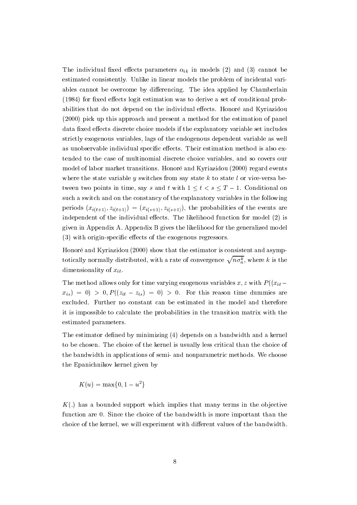The individual fixed effects parameters  $\alpha_{ik}$  in models (2) and (3) cannot be estimated consistently. Unlike in linear models the problem of incidental variables cannot be overcome by differencing. The idea applied by Chamberlain (1984) for fixed effects logit estimation was to derive a set of conditional probabilities that do not depend on the individual effects. Honoré and Kyriazidou (2000) pick up this approach and present a method for the estimation of panel data fixed effects discrete choice models if the explanatory variable set includes strictly exogenous variables, lags of the endogenous dependent variable as well as unobservable individual specific effects. Their estimation method is also extended to the case of multinomial discrete choice variables, and so covers our model of labor market transitions. Honoré and Kyriazidou (2000) regard events where the state variable y switches from say state  $k$  to state l or vice-versa between two points in time, say s and t with  $1 \le t \le s \le T-1$ . Conditional on such a switch and on the constancy of the explanatory variables in the following periods  $(x_{i(t+1)}, z_{i(t+1)}) = (x_{i(s+1)}, z_{i(s+1)})$ , the probabilities of the events are independent of the individual effects. The likelihood function for model (2) is given in Appendix A. Appendix B gives the likelihood for the generalized model (3) with origin-specific effects of the exogenous regressors.

Honoré and Kyriazidou (2000) show that the estimator is consistent and asymptotically normally distributed, with a rate of convergence  $\sqrt{n\sigma_n^k}$ , where k is the dimensionality of  $x_{it}$ .

The method allows only for time varying exogenous variables x, z with  $P((x_{it}$  $x_{is}$  = 0 > 0,  $P((z_{it} - z_{is}) = 0) > 0$ . For this reason time dummies are excluded. Further no constant can be estimated in the model and therefore it is impossible to calculate the probabilities in the transition matrix with the estimated parameters.

The estimator defined by minimizing (4) depends on a bandwidth and a kernel to be chosen. The choice of the kernel is usually less critical than the choice of the bandwidth in applications of semi- and nonparametric methods. We choose the Epanichnikov kernel given by

$$
K(u) = \max\{0, 1 - u^2\}
$$

 $K(.)$  has a bounded support which implies that many terms in the objective function are 0. Since the choice of the bandwidth is more important than the choice of the kernel, we will experiment with different values of the bandwidth.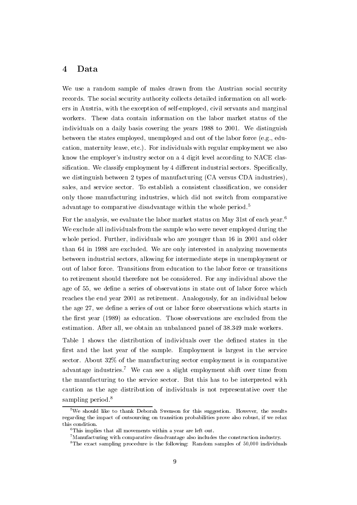#### $\overline{4}$ Data

We use a random sample of males drawn from the Austrian social security records. The social security authority collects detailed information on all workers in Austria, with the exception of self-employed, civil servants and marginal workers. These data contain information on the labor market status of the individuals on a daily basis covering the years 1988 to 2001. We distinguish between the states employed, unemployed and out of the labor force (e.g., education, maternity leave, etc.). For individuals with regular employment we also know the employer's industry sector on a 4 digit level according to NACE classification. We classify employment by 4 different industrial sectors. Specifically, we distinguish between 2 types of manufacturing (CA versus CDA industries). sales, and service sector. To establish a consistent classification, we consider only those manufacturing industries, which did not switch from comparative advantage to comparative disadvantage within the whole period.<sup>5</sup>

For the analysis, we evaluate the labor market status on May 31st of each year.<sup>6</sup> We exclude all individuals from the sample who were never employed during the whole period. Further, individuals who are younger than 16 in 2001 and older than 64 in 1988 are excluded. We are only interested in analyzing movements between industrial sectors, allowing for intermediate steps in unemployment or out of labor force. Transitions from education to the labor force or transitions to retirement should therefore not be considered. For any individual above the age of 55, we define a series of observations in state out of labor force which reaches the end year 2001 as retirement. Analogously, for an individual below the age 27, we define a series of out or labor force observations which starts in the first year (1989) as education. Those observations are excluded from the estimation. After all, we obtain an unbalanced panel of 38.349 male workers.

Table 1 shows the distribution of individuals over the defined states in the first and the last year of the sample. Employment is largest in the service sector. About 32% of the manufacturing sector employment is in comparative advantage industries.<sup>7</sup> We can see a slight employment shift over time from the manufacturing to the service sector. But this has to be interpreted with caution as the age distribution of individuals is not representative over the sampling period. $8$ 

<sup>&</sup>lt;sup>5</sup>We should like to thank Deborah Swenson for this suggestion. However, the results regarding the impact of outsourcing on transition probabilities prove also robust, if we relax this condition.

 ${}^{6}$ This implies that all movements within a year are left out.

 $7$ Manufacturing with comparative disadvantage also includes the construction industry.

 ${}^{8}$ The exact sampling procedure is the following: Random samples of 50,000 individuals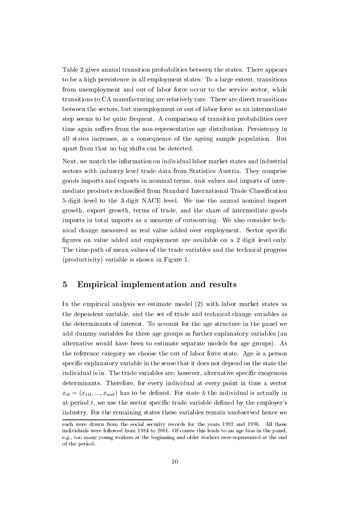Table 2 gives annual transition probabilities between the states. There appears to be a high persistence in all employment states. To a large extent, transitions from unemployment and out of labor force occur to the service sector, while transitions to CA manufacturing are relatively rare. There are direct transitions between the sectors, but unemployment or out of labor force as an intermediate step seems to be quite frequent. A comparison of transition probabilities over time again suffers from the non-representative age distribution. Persistency in all states increases, as a consequence of the ageing sample population. But apart from that no big shifts can be detected.

Next, we match the information on individual labor market states and industrial sectors with industry level trade data from Statistics Austria. They comprise goods imports and exports in nominal terms, unit values and imports of intermediate products reclassified from Standard International Trade Classification 5-digit level to the 3-digit NACE level. We use the annual nominal import growth, export growth, terms of trade, and the share of intermediate goods imports in total imports as a measure of outsourcing. We also consider technical change measured as real value added over employment. Sector specific figures on value added and employment are available on a 2 digit level only. The time-path of mean values of the trade variables and the technical progress (productivity) variable is shown in Figure 1.

#### 5 Empirical implementation and results

In the empirical analysis we estimate model (2) with labor market states as the dependent variable, and the set of trade and technical change variables as the determinants of interest. To account for the age structure in the panel we add dummy variables for three age groups as further explanatory variables (an alternative would have been to estimate separate models for age groups). As the reference category we choose the out of labor force state. Age is a person specific explanatory variable in the sense that it does not depend on the state the individual is in. The trade variables are, however, alternative specific exogenous determinants. Therefore, for every individual at every point in time a vector  $x_{it} = (x_{1it}, ..., x_{mit})$  has to be defined. For state k the individual is actually in at period  $t$ , we use the sector specific trade variable defined by the employer's industry. For the remaining states these variables remain unobserved hence we

each were drawn from the social security records for the years 1992 and 1996. All these individuals were followed from 1984 to 2001. Of course this leads to an age bias in the panel. e.g., too many young workers at the beginning and older workers over-represented at the end of the period.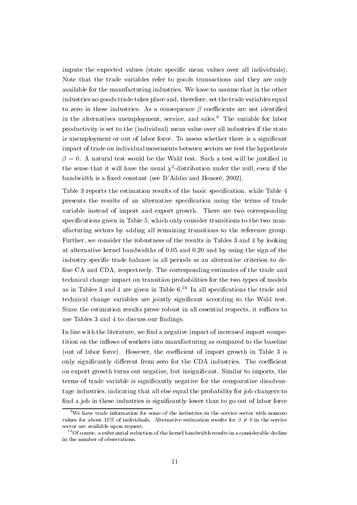impute the expected values (state specific mean values over all individuals). Note that the trade variables refer to goods transactions and they are only available for the manufacturing industries. We have to assume that in the other industries no goods trade takes place and, therefore, set the trade variables equal to zero in these industries. As a consequence  $\beta$  coefficients are not identified in the alternatives unemployment, service, and sales.<sup>9</sup> The variable for labor productivity is set to the (individual) mean value over all industries if the state is unemployment or out of labor force. To assess whether there is a significant impact of trade on individual movements between sectors we test the hypothesis  $\beta = 0$ . A natural test would be the Wald test. Such a test will be justified in the sense that it will have the usual  $\chi^2$ -distribution under the null, even if the bandwidth is a fixed constant (see D'Addio and Honoré, 2002).

Table 3 reports the estimation results of the basic specification, while Table 4 presents the results of an alternative specification using the terms of trade variable instead of import and export growth. There are two corresponding specifications given in Table 5, which only consider transitions to the two manufacturing sectors by adding all remaining transitions to the reference group. Further, we consider the robustness of the results in Tables 3 and 4 by looking at alternative kernel bandwidths of  $0.05$  and  $0.20$  and by using the sign of the industry specific trade balance in all periods as an alternative criterion to define CA and CDA, respectively. The corresponding estimates of the trade and technical change impact on transition probabilities for the two types of models as in Tables 3 and 4 are given in Table  $6^{10}$  In all specifications the trade and technical change variables are jointly significant according to the Wald test. Since the estimation results prove robust in all essential respects, it suffices to use Tables 3 and 4 to discuss our findings.

In line with the literature, we find a negative impact of increased import competition on the inflows of workers into manufacturing as compared to the baseline (out of labor force). However, the coefficient of import growth in Table 3 is only significantly different from zero for the CDA industries. The coefficient on export growth turns out negative, but insignificant. Similar to imports, the terms of trade variable is significantly negative for the comparative disadvantage industries, indicating that all else equal the probability for job changers to find a job in these industries is significantly lower than to go out of labor force

<sup>&</sup>lt;sup>9</sup>We have trade information for some of the industries in the service sector with nonzero values for about 10% of individuals. Alternative estimation results for  $\beta \neq 0$  in the service sector are available upon request.

 $^{10}$  Of course, a substantial reduction of the kernel bandwidth results in a considerable decline in the number of observations.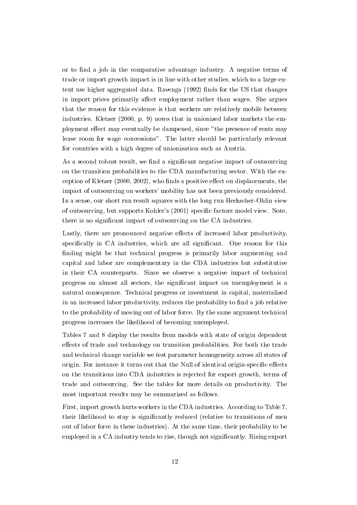or to find a job in the comparative advantage industry. A negative terms of trade or import growth impact is in line with other studies, which to a large extent use higher aggregated data. Ravenga (1992) finds for the US that changes in import prices primarily affect employment rather than wages. She argues that the reason for this evidence is that workers are relatively mobile between industries. Kletzer (2000, p. 9) notes that in unionized labor markets the employment effect may eventually be dampened, since "the presence of rents may leave room for wage concessions". The latter should be particularly relevant for countries with a high degree of unionization such as Austria.

As a second robust result, we find a significant negative impact of outsourcing on the transition probabilities to the CDA manufacturing sector. With the exception of Kletzer (2000, 2002), who finds a positive effect on displacements, the impact of outsourcing on workers' mobility has not been previously considered. In a sense, our short run result squares with the long run Heckscher-Ohlin view of outsourcing, but supports Kohler's (2001) specific factors model view. Note, there is no significant impact of outsourcing on the CA industries.

Lastly, there are pronounced negative effects of increased labor productivity. specifically in CA industries, which are all significant. One reason for this finding might be that technical progress is primarily labor augmenting and capital and labor are complementary in the CDA industries but substitutive in their CA counterparts. Since we observe a negative impact of technical progress on almost all sectors, the significant impact on unemployment is a natural consequence. Technical progress or investment in capital, materialized in an increased labor productivity, reduces the probability to find a job relative to the probability of moving out of labor force. By the same argument technical progress increases the likelihood of becoming unemployed.

Tables 7 and 8 display the results from models with state of origin dependent effects of trade and technology on transition probabilities. For both the trade and technical change variable we test parameter homogeneity across all states of origin. For instance it turns out that the Null of identical origin-specific effects on the transitions into CDA industries is rejected for export growth, terms of trade and outsourcing. See the tables for more details on productivity. The most important results may be summarized as follows.

First, import growth hurts workers in the CDA industries. According to Table 7, their likelihood to stay is significantly reduced (relative to transitions of men out of labor force in these industries). At the same time, their probability to be employed in a CA industry tends to rise, though not significantly. Rising export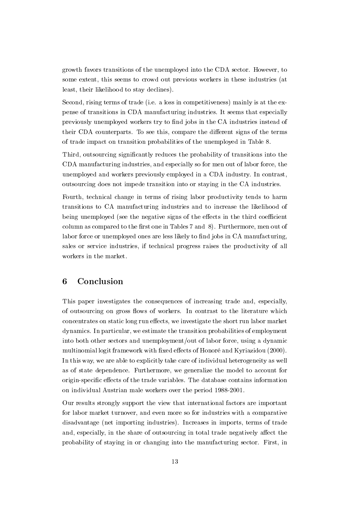growth favors transitions of the unemployed into the CDA sector. However, to some extent, this seems to crowd out previous workers in these industries (at least, their likelihood to stay declines).

Second, rising terms of trade (i.e. a loss in competitiveness) mainly is at the expense of transitions in CDA manufacturing industries. It seems that especially previously unemployed workers try to find jobs in the CA industries instead of their CDA counterparts. To see this, compare the different signs of the terms of trade impact on transition probabilities of the unemployed in Table 8.

Third, outsourcing significantly reduces the probability of transitions into the CDA manufacturing industries, and especially so for men out of labor force, the unemployed and workers previously employed in a CDA industry. In contrast, outsourcing does not impede transition into or staying in the CA industries.

Fourth, technical change in terms of rising labor productivity tends to harm transitions to CA manufacturing industries and to increase the likelihood of being unemployed (see the negative signs of the effects in the third coefficient column as compared to the first one in Tables 7 and 8). Furthermore, men out of labor force or unemployed ones are less likely to find jobs in CA manufacturing, sales or service industries, if technical progress raises the productivity of all workers in the market.

#### 6 Conclusion

This paper investigates the consequences of increasing trade and, especially, of outsourcing on gross flows of workers. In contrast to the literature which concentrates on static long run effects, we investigate the short run labor market dynamics. In particular, we estimate the transition probabilities of employment into both other sectors and unemployment/out of labor force, using a dynamic multinomial logit framework with fixed effects of Honoré and Kyriazidou (2000). In this way, we are able to explicitly take care of individual heterogeneity as well as of state dependence. Furthermore, we generalize the model to account for origin-specific effects of the trade variables. The database contains information on individual Austrian male workers over the period 1988-2001.

Our results strongly support the view that international factors are important for labor market turnover, and even more so for industries with a comparative disadvantage (net importing industries). Increases in imports, terms of trade and, especially, in the share of outsourcing in total trade negatively affect the probability of staying in or changing into the manufacturing sector. First, in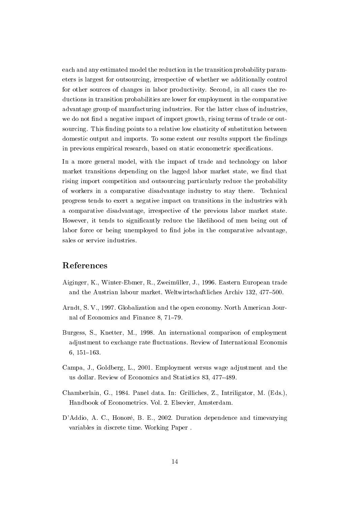each and any estimated model the reduction in the transition probability parameters is largest for outsourcing, irrespective of whether we additionally control for other sources of changes in labor productivity. Second, in all cases the reductions in transition probabilities are lower for employment in the comparative advantage group of manufacturing industries. For the latter class of industries, we do not find a negative impact of import growth, rising terms of trade or outsourcing. This finding points to a relative low elasticity of substitution between domestic output and imports. To some extent our results support the findings in previous empirical research, based on static econometric specifications.

In a more general model, with the impact of trade and technology on labor market transitions depending on the lagged labor market state, we find that rising import competition and outsourcing particularly reduce the probability of workers in a comparative disadvantage industry to stay there. Technical progress tends to exert a negative impact on transitions in the industries with a comparative disadvantage, irrespective of the previous labor market state. However, it tends to significantly reduce the likelihood of men being out of labor force or being unemployed to find jobs in the comparative advantage, sales or service industries.

### References

- Aiginger, K., Winter-Ebmer, R., Zweimüller, J., 1996. Eastern European trade and the Austrian labour market. Weltwirtschaftliches Archiv 132, 477-500.
- Arndt, S. V., 1997. Globalization and the open economy. North American Journal of Economics and Finance 8, 71-79.
- Burgess, S., Knetter, M., 1998. An international comparison of employment adjustment to exchange rate fluctuations. Review of International Economis  $6, 151 - 163.$
- Campa, J., Goldberg, L., 2001. Employment versus wage adjustment and the us dollar. Review of Economics and Statistics 83, 477–489.
- Chamberlain, G., 1984. Panel data. In: Grilliches, Z., Intriligator, M. (Eds.), Handbook of Econometrics. Vol. 2. Elsevier, Amsterdam.
- D'Addio, A. C., Honoré, B. E., 2002. Duration dependence and timevarying variables in discrete time. Working Paper.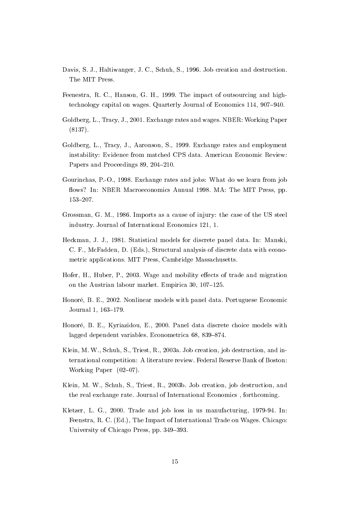- Davis, S. J., Haltiwanger, J. C., Schuh, S., 1996. Job creation and destruction. The MIT Press.
- Feenestra, R. C., Hanson, G. H., 1999. The impact of outsourcing and hightechnology capital on wages. Quarterly Journal of Economics 114, 907-940.
- Goldberg, L., Tracy, J., 2001. Exchange rates and wages. NBER: Working Paper  $(8137).$
- Goldberg, L., Tracy, J., Aaronson, S., 1999. Exchange rates and employment instability: Evidence from matched CPS data. American Economic Review: Papers and Proceedings 89, 204-210.
- Gourinchas, P.-O., 1998. Exchange rates and jobs: What do we learn from job flows? In: NBER Macroeconomics Annual 1998. MA: The MIT Press, pp.  $153 - 207$ .
- Grossman, G. M., 1986. Imports as a cause of injury: the case of the US steel industry. Journal of International Economics 121, 1.
- Heckman, J. J., 1981. Statistical models for discrete panel data. In: Manski. C. F., McFadden, D. (Eds.), Structural analysis of discrete data with econometric applications. MIT Press, Cambridge Massachusetts.
- Hofer, H., Huber, P., 2003. Wage and mobility effects of trade and migration on the Austrian labour market. Empirica 30, 107-125.
- Honoré, B. E., 2002. Nonlinear models with panel data. Portuguese Economic Journal 1, 163-179.
- Honoré, B. E., Kyriazidou, E., 2000. Panel data discrete choice models with lagged dependent variables. Econometrica 68, 839-874.
- Klein, M. W., Schuh, S., Triest, R., 2003a. Job creation, job destruction, and international competition: A literature review. Federal Reserve Bank of Boston: Working Paper  $(02-07)$ .
- Klein, M. W., Schuh, S., Triest, R., 2003b. Job creation, iob destruction, and the real exchange rate. Journal of International Economics, forthcoming.
- Kletzer, L. G., 2000. Trade and job loss in us manufacturing, 1979-94. In: Feenstra, R. C. (Ed.), The Impact of International Trade on Wages. Chicago: University of Chicago Press, pp. 349–393.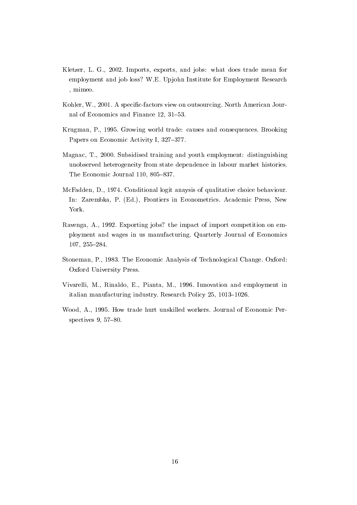- Kletzer, L. G., 2002. Imports, exports, and jobs: what does trade mean for employment and job loss? W.E. Upjohn Institute for Employment Research , mimeo.
- Kohler, W., 2001. A specific-factors view on outsourcing. North American Journal of Economics and Finance 12, 31-53.
- Krugman, P., 1995. Growing world trade: causes and consequences. Brooking Papers on Economic Activity I, 327-377.
- Magnac, T., 2000. Subsidised training and youth employment: distinguishing unobserved heterogeneity from state dependence in labour market histories. The Economic Journal 110, 805-837.
- McFadden, D., 1974. Conditional logit anaysis of qualitative choice behaviour. In: Zarembka, P. (Ed.), Frontiers in Econometrics. Academic Press, New York.
- Ravenga, A., 1992. Exporting jobs? the impact of import competition on employment and wages in us manufacturing. Quarterly Journal of Economics 107, 255-284.
- Stoneman, P., 1983. The Economic Analysis of Technological Change. Oxford: Oxford University Press.
- Vivarelli, M., Rinaldo, E., Pianta, M., 1996. Innovation and employment in italian manufacturing industry. Research Policy 25, 1013-1026.
- Wood, A., 1995. How trade hurt unskilled workers. Journal of Economic Perspectives  $9, 57-80.$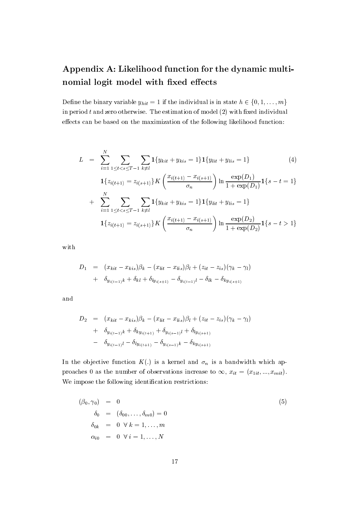## Appendix A: Likelihood function for the dynamic multinomial logit model with fixed effects

Define the binary variable  $y_{hit} = 1$  if the individual is in state  $h \in \{0, 1, ..., m\}$ in period  $t$  and zero otherwise. The estimation of model  $(2)$  with fixed individual effects can be based on the maximization of the following likelihood function:

$$
L = \sum_{i=1}^{N} \sum_{1 \leq t < s \leq T-1} \sum_{k \neq l} \mathbf{1} \{ y_{kit} + y_{kis} = 1 \} \mathbf{1} \{ y_{lit} + y_{lis} = 1 \} \tag{4}
$$
\n
$$
\mathbf{1} \{ z_{i(t+1)} = z_{i(s+1)} \} K \left( \frac{x_{i(t+1)} - x_{i(s+1)}}{\sigma_n} \right) \ln \frac{\exp(D_1)}{1 + \exp(D_1)} \mathbf{1} \{ s - t = 1 \}
$$
\n
$$
+ \sum_{i=1}^{N} \sum_{1 \leq t < s \leq T-1} \sum_{k \neq l} \mathbf{1} \{ y_{kit} + y_{kis} = 1 \} \mathbf{1} \{ y_{lit} + y_{lis} = 1 \}
$$
\n
$$
\mathbf{1} \{ z_{i(t+1)} = z_{i(s+1)} \} K \left( \frac{x_{i(t+1)} - x_{i(s+1)}}{\sigma_n} \right) \ln \frac{\exp(D_2)}{1 + \exp(D_2)} \mathbf{1} \{ s - t > 1 \}
$$

 $_{\rm with}$ 

$$
D_1 = (x_{kit} - x_{kis})\beta_k - (x_{lit} - x_{lis})\beta_l + (z_{it} - z_{is})(\gamma_k - \gamma_l) + \delta_{y_{i(t-1)}k} + \delta_{kl} + \delta_{ly_{i(s+1)}} - \delta_{y_{i(t-1)}l} - \delta_{lk} - \delta_{ky_{i(s+1)}}
$$

and

$$
D_2 = (x_{kit} - x_{kis})\beta_k - (x_{lit} - x_{lis})\beta_l + (z_{it} - z_{is})(\gamma_k - \gamma_l) + \delta_{y_{i(t-1)}k} + \delta_{ky_{i(t+1)}} + \delta_{y_{i(s-1)}l} + \delta_{ly_{i(s+1)} - \delta_{y_{i(t-1)}l} - \delta_{ly_{i(t+1)}} - \delta_{y_{i(s-1)}k} - \delta_{ky_{i(s+1)}}
$$

In the objective function  $K(.)$  is a kernel and  $\sigma_n$  is a bandwidth which approaches 0 as the number of observations increase to  $\infty$ ,  $x_{it} = (x_{1it},...,x_{mit})$ . We impose the following identification restrictions:

$$
(\beta_0, \gamma_0) = 0
$$
  
\n
$$
\delta_0 = (\delta_{00}, \dots, \delta_{m0}) = 0
$$
  
\n
$$
\delta_{0k} = 0 \forall k = 1, \dots, m
$$
  
\n
$$
\alpha_{i0} = 0 \forall i = 1, \dots, N
$$
\n(5)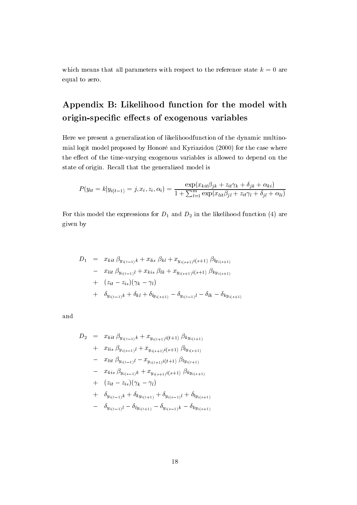which means that all parameters with respect to the reference state  $k = 0$  are equal to zero.

## Appendix B: Likelihood function for the model with origin-specific effects of exogenous variables

Here we present a generalization of likelihoodfunction of the dynamic multinomial logit model proposed by Honoré and Kyriazidou (2000) for the case where the effect of the time-varying exogenous variables is allowed to depend on the state of origin. Recall that the generalized model is

$$
P(y_{it} = k|y_{i(t-1)} = j, x_i, z_i, \alpha_i) = \frac{\exp(x_{kit}\beta_{jk} + z_{it}\gamma_k + \delta_{jk} + \alpha_{ki})}{1 + \sum_{l=1}^{m} \exp(x_{lit}\beta_{jl} + z_{it}\gamma_l + \delta_{jl} + \alpha_{li})}
$$

For this model the expressions for  $D_1$  and  $D_2$  in the likelihood function (4) are given by

$$
D_1 = x_{kit} \beta_{y_{i(t-1)}k} + x_{lis} \beta_{kl} + x_{y_{i(s+1)}i(s+1)} \beta_{ly_{i(s+1)}} - x_{lit} \beta_{y_{i(t-1)}l} + x_{kis} \beta_{lk} + x_{y_{i(s+1)}i(s+1)} \beta_{ky_{i(s+1)}} + (z_{it} - z_{is})(\gamma_k - \gamma_l) + \delta_{y_{i(t-1)}k} + \delta_{kl} + \delta_{ly_{i(s+1)}} - \delta_{y_{i(t-1)}l} - \delta_{lk} - \delta_{ky_{i(s+1)}}
$$

and

$$
D_2 = x_{kit} \beta_{y_{i(t-1)}k} + x_{y_{i(t+1)}i(t+1)} \beta_{ky_{i(t+1)}}
$$
  
+  $x_{lis} \beta_{y_{i(s-1)}l} + x_{y_{i(s+1)}i(s+1)} \beta_{ly_{i(s+1)}}$   
-  $x_{lit} \beta_{y_{i(t-1)}l} - x_{y_{i(t+1)}i(t+1)} \beta_{ly_{i(t+1)}}$   
-  $x_{kis} \beta_{y_{i(s-1)}k} + x_{y_{i(s+1)}i(s+1)} \beta_{ky_{i(s+1)}}$   
+  $(z_{it} - z_{is})(\gamma_k - \gamma_l)$   
+  $\delta_{y_{i(t-1)}k} + \delta_{ky_{i(t+1)}} + \delta_{y_{i(s-1)}l} + \delta_{ly_{i(s+1)}}$   
-  $\delta_{y_{i(t-1)}l} - \delta_{ly_{i(t+1)} - \delta_{y_{i(s-1)}k} - \delta_{ky_{i(s+1)}}$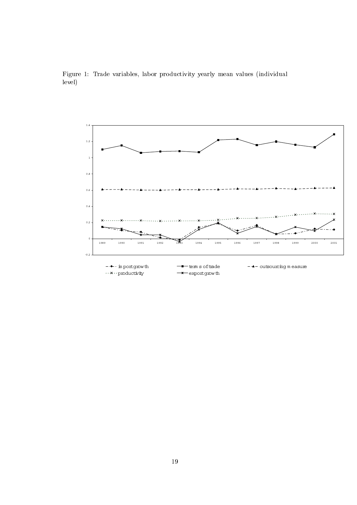

Figure 1: Trade variables, labor productivity yearly mean values (individual level)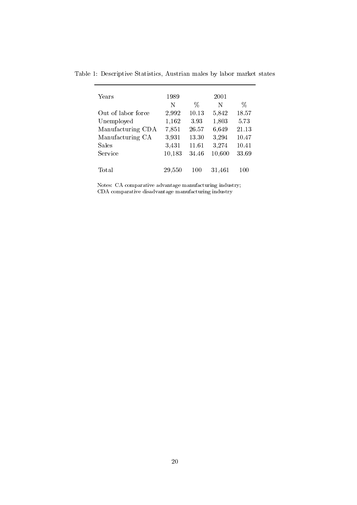| Years              | 1989   |       | 2001   |       |
|--------------------|--------|-------|--------|-------|
|                    | N      | $\%$  | N      | $\%$  |
| Out of labor force | 2,992  | 10.13 | 5,842  | 18.57 |
| Unemployed         | 1,162  | 3.93  | 1,803  | 5.73  |
| Manufacturing CDA  | 7,851  | 26.57 | 6,649  | 21.13 |
| Manufacturing CA   | 3,931  | 13.30 | 3,294  | 10.47 |
| Sales              | 3,431  | 11.61 | 3,274  | 10.41 |
| Service            | 10,183 | 34.46 | 10,600 | 33.69 |
|                    |        |       |        |       |
| Total              | 29,550 | 100   | 31,461 | 100   |

Table 1: Descriptive Statistics, Austrian males by labor market states

 $\label{thm:constr} \text{Notes: CA comparative advantage manufacturing industry;} \\ \text{CDA comparative disadvantage manufacturing industry}$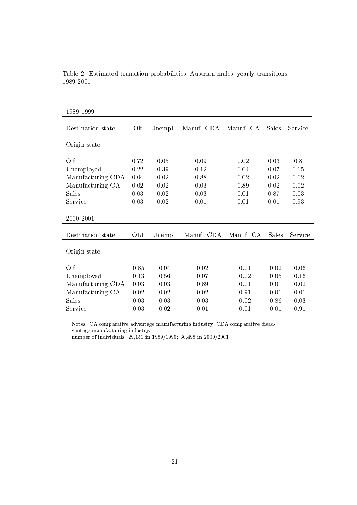| 1989-1999         |          |         |            |           |              |         |
|-------------------|----------|---------|------------|-----------|--------------|---------|
| Destination state | Olf      | Unempl. | Manuf. CDA | Manuf. CA | Sales        | Service |
| Origin state      |          |         |            |           |              |         |
|                   |          |         |            |           |              |         |
| Olf               | 0.72     | 0.05    | 0.09       | 0.02      | 0.03         | 0.8     |
| Unemployed        | 0.22     | 0.39    | 0.12       | 0.04      | 0.07         | 0.15    |
| Manufacturing CDA | 0.04     | 0.02    | 0.88       | 0.02      | 0.02         | 0.02    |
| Manufacturing CA  | $0.02\,$ | 0.02    | 0.03       | 0.89      | 0.02         | 0.02    |
| Sales             | 0.03     | 0.02    | 0.03       | 0.01      | 0.87         | 0.03    |
| Service           | 0.03     | 0.02    | 0.01       | 0.01      | 0.01         | 0.93    |
|                   |          |         |            |           |              |         |
| 2000-2001         |          |         |            |           |              |         |
| Destination state | OLF      | Unempl. | Manuf. CDA | Manuf. CA | <b>Sales</b> | Service |
| Origin state      |          |         |            |           |              |         |
|                   |          |         |            |           |              |         |
| Olf               | 0.85     | 0.04    | 0.02       | 0.01      | 0.02         | 0.06    |
| Unemployed        | 0.13     | 0.56    | 0.07       | 0.02      | 0.05         | 0.16    |
| Manufacturing CDA | 0.03     | 0.03    | 0.89       | 0.01      | 0.01         | 0.02    |
| Manufacturing CA  | 0.02     | 0.02    | 0.02       | 0.91      | 0.01         | 0.01    |
| Sales             | 0.03     | 0.03    | 0.03       | 0.02      | 0.86         | 0.03    |
| Service           | 0.03     | 0.02    | 0.01       | 0.01      | 0.01         | 0.91    |
|                   |          |         |            |           |              |         |

Table 2: Estimated transition probabilities, Austrian males, yearly transitions 1989-2001

Notes: CA comparative advantage manufacturing industry; CDA comparative disadvantage manufacturing industry;<br>number of individuals: 29,151 in 1989/1990; 30,498 in 2000/2001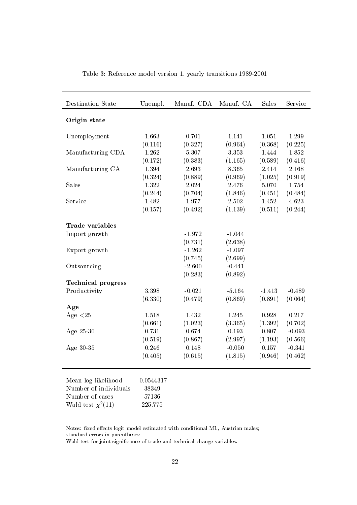| Destination State         | Unempl.      | Manuf. CDA | Manuf. CA | <b>Sales</b> | Service  |
|---------------------------|--------------|------------|-----------|--------------|----------|
| Origin state              |              |            |           |              |          |
| Unemployment              | 1.663        | 0.701      | 1.141     | 1.051        | 1.299    |
|                           | (0.116)      | (0.327)    | (0.964)   | (0.368)      | (0.225)  |
| Manufacturing CDA         | 1.262        | 5.307      | 3.353     | 1.444        | 1.852    |
|                           | (0.172)      | (0.383)    | (1.165)   | (0.589)      | (0.416)  |
| Manufacturing CA          | 1.394        | 2.693      | 8.365     | 2.414        | 2.168    |
|                           | (0.324)      | (0.889)    | (0.969)   | (1.025)      | (0.919)  |
| Sales                     | 1.322        | 2.024      | 2.476     | 5.070        | 1.754    |
|                           | (0.244)      | (0.704)    | (1.846)   | (0.451)      | (0.484)  |
| Service                   | 1.482        | 1.977      | 2.502     | 1.452        | 4.623    |
|                           | (0.157)      | (0.492)    | (1.139)   | (0.511)      | (0.244)  |
| Trade variables           |              |            |           |              |          |
| Import growth             |              | $-1.972$   | $-1.044$  |              |          |
|                           |              | (0.731)    | (2.638)   |              |          |
| Export growth             |              | $-1.262$   | $-1.097$  |              |          |
|                           |              | (0.745)    | (2.699)   |              |          |
| Outsourcing               |              | $-2.600$   | $-0.441$  |              |          |
|                           |              | (0.283)    | (0.892)   |              |          |
| <b>Technical progress</b> |              |            |           |              |          |
| Productivity              | 3.398        | $-0.021$   | $-5.164$  | $-1.413$     | $-0.489$ |
|                           | (6.330)      | (0.479)    | (0.869)   | (0.891)      | (0.064)  |
| Age                       |              |            |           |              |          |
| Age $<25$                 | 1.518        | 1.432      | 1.245     | 0.928        | 0.217    |
|                           | (0.661)      | (1.023)    | (3.365)   | (1.392)      | (0.702)  |
| Age 25-30                 | 0.731        | 0.674      | 0.193     | 0.807        | $-0.093$ |
|                           | (0.519)      | (0.867)    | (2.997)   | (1.193)      | (0.566)  |
| Age 30-35                 | 0.246        | 0.148      | $-0.050$  | 0.157        | $-0.341$ |
|                           | (0.405)      | (0.615)    | (1.815)   | (0.946)      | (0.462)  |
|                           |              |            |           |              |          |
| Mean log-likelihood       | $-0.0544317$ |            |           |              |          |
| Number of individuals     | 38349        |            |           |              |          |
| Number of cases           | 57136        |            |           |              |          |
| Wald test $\chi^2(11)$    | 225.775      |            |           |              |          |

Table 3: Reference model version 1, yearly transitions 1989-2001

Notes: fixed effects logit model estimated with conditional ML, Austrian males; standard errors in parentheses;

Wald test for joint significance of trade and technical change variables.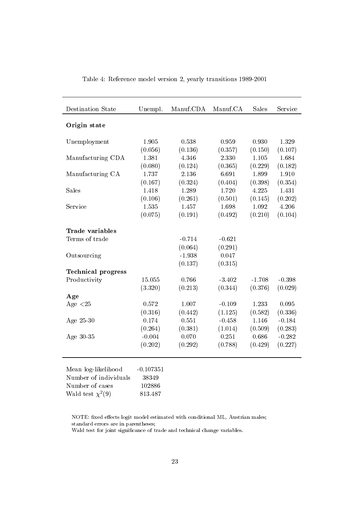| Destination State         | Unempl.     | Manuf.CDA | Manuf.CA | Sales    | Service  |
|---------------------------|-------------|-----------|----------|----------|----------|
| Origin state              |             |           |          |          |          |
| Unemployment              | 1.905       | 0.538     | 0.959    | 0.930    | 1.329    |
|                           | (0.056)     | (0.136)   | (0.357)  | (0.150)  | (0.107)  |
| Manufacturing CDA         | 1.381       | 4.346     | 2.330    | 1.105    | 1.684    |
|                           | (0.080)     | (0.124)   | (0.365)  | (0.229)  | (0.182)  |
| Manufacturing CA          | 1.737       | 2.136     | 6.691    | 1.899    | 1.910    |
|                           | (0.167)     | (0.324)   | (0.404)  | (0.398)  | (0.354)  |
| Sales                     | 1.418       | 1.289     | 1.720    | 4.225    | 1.431    |
|                           | (0.106)     | (0.261)   | (0.501)  | (0.145)  | (0.202)  |
| Service                   | 1.535       | 1.457     | 1.698    | 1.092    | 4.206    |
|                           | (0.075)     | (0.191)   | (0.492)  | (0.210)  | (0.104)  |
| Trade variables           |             |           |          |          |          |
| Terms of trade            |             | $-0.714$  | $-0.621$ |          |          |
|                           |             | (0.064)   | (0.291)  |          |          |
| Outsourcing               |             | $-1.938$  | 0.047    |          |          |
|                           |             | (0.137)   | (0.315)  |          |          |
| <b>Technical progress</b> |             |           |          |          |          |
| Productivity              | 15.055      | 0.766     | $-3.402$ | $-1.708$ | $-0.398$ |
|                           | (3.320)     | (0.213)   | (0.344)  | (0.376)  | (0.029)  |
| Age                       |             |           |          |          |          |
| Age $<25$                 | 0.572       | 1.007     | $-0.109$ | 1.233    | 0.095    |
|                           | (0.316)     | (0.442)   | (1.125)  | (0.582)  | (0.336)  |
| Age 25-30                 | 0.174       | 0.551     | $-0.458$ | 1.146    | $-0.184$ |
|                           | (0.264)     | (0.381)   | (1.014)  | (0.509)  | (0.283)  |
| Age 30-35                 | $-0.004$    | 0.070     | 0.251    | 0.686    | $-0.282$ |
|                           | (0.202)     | (0.292)   | (0.788)  | (0.429)  | (0.227)  |
|                           |             |           |          |          |          |
| Mean log-likelihood       | $-0.107351$ |           |          |          |          |
| Number of individuals     | 38349       |           |          |          |          |
| Number of cases           | 102886      |           |          |          |          |
| Wald test $\chi^2(9)$     | 813.487     |           |          |          |          |
|                           |             |           |          |          |          |

Table 4: Reference model version 2, yearly transitions 1989-2001

NOTE: fixed effects logit model estimated with conditional ML, Austrian males; standard errors are in parentheses;

Wald test for joint significance of trade and technical change variables.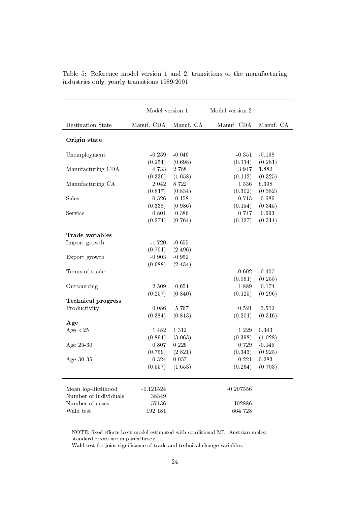|                           | Model version 1 |           | Model version 2 |           |
|---------------------------|-----------------|-----------|-----------------|-----------|
| <b>Destination State</b>  | Manuf. CDA      | Manuf. CA | Manuf. CDA      | Manuf. CA |
| Origin state              |                 |           |                 |           |
| Unemployment              | $-0.239$        | $-0.046$  | $-0.351$        | $-0.168$  |
|                           | (0.254)         | (0.698)   | (0.114)         | (0.281)   |
| Manufacturing CDA         | 4.733           | 2.788     | 3.947           | 1.882     |
|                           | (0.336)         | (1.058)   | (0.112)         | (0.325)   |
| Manufacturing CA          | 2.042           | 8.722     | 1.536           | 6.398     |
|                           | (0.817)         | (0.834)   | (0.302)         | (0.382)   |
| Sales                     | $-0.526$        | $-0.158$  | $-0.713$        | $-0.686$  |
|                           | (0.338)         | (0.986)   | (0.154)         | (0.345)   |
| Service                   | $-0.801$        | $-0.386$  | $-0.747$        | $-0.693$  |
|                           | (0.274)         | (0.764)   | (0.127)         | (0.314)   |
| Trade variables           |                 |           |                 |           |
| Import growth             |                 |           |                 |           |
|                           | $-1.720$        | $-0.655$  |                 |           |
|                           | (0.701)         | (2.496)   |                 |           |
| Export growth             | $-0.903$        | $-0.952$  |                 |           |
|                           | (0.688)         | (2.434)   |                 |           |
| Terms of trade            |                 |           | $-0.602$        | $-0.407$  |
|                           |                 |           | (0.061)         | (0.255)   |
| Outsourcing               | $-2.509$        | $-0.654$  | $-1.889$        | $-0.174$  |
|                           | (0.257)         | (0.840)   | (0.125)         | (0.296)   |
| <b>Technical progress</b> |                 |           |                 |           |
| Productivity              | $-0.086$        | $-5.767$  | 0.521           | $-3.512$  |
|                           | (0.384)         | (0.813)   | (0.201)         | (0.316)   |
| Age                       |                 |           |                 |           |
| Age $<$ 25                | 1.482           | 1.312     | 1.229           | 0.343     |
|                           | (0.894)         | (3.063)   | (0.398)         | (1.028)   |
| Age 25-30                 | 0.807           | 0.226     | 0.729           | $-0.145$  |
|                           | (0.759)         | (2.821)   | (0.343)         | (0.925)   |
| Age 30-35                 | 0.324           | 0.057     | 0.221           | 0.283     |
|                           | (0.557)         | (1.653)   | (0.264)         | (0.703)   |
| Mean log-likelihood       | $-0.121524$     |           | $-0.207556$     |           |
| Number of individuals     | 38349           |           |                 |           |
| Number of cases           | 57136           |           | 102886          |           |
| Wald test                 | 192.181         |           | 664.728         |           |
|                           |                 |           |                 |           |

|                                               |  |  |  | Table 5: Reference model version 1 and 2, transitions to the manufacturing |  |
|-----------------------------------------------|--|--|--|----------------------------------------------------------------------------|--|
| industries only, yearly transitions 1989-2001 |  |  |  |                                                                            |  |

NOTE: fixed effects logit model estimated with conditional ML, Austrian males; standard errors are in parentheses;

Wald test for joint significance of trade and technical change variables.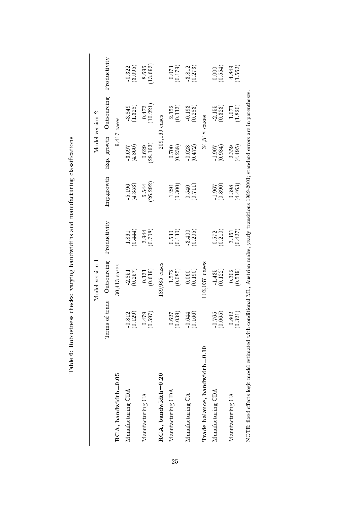|                                                                                                                                                  |                                    | Model version 1         |                         |                      |                      | Model version 2      |                      |
|--------------------------------------------------------------------------------------------------------------------------------------------------|------------------------------------|-------------------------|-------------------------|----------------------|----------------------|----------------------|----------------------|
|                                                                                                                                                  | of trade<br>Terms                  | Outsourcing             | Productivity            | <b>Imp.growth</b>    | Exp. growth          | Outsourcing          | Productivity         |
| $RCA$ , bandwidth=0.05                                                                                                                           |                                    | $30,413$ cases          |                         |                      | 9,417                | cases                |                      |
| Manufacturing CDA                                                                                                                                | (0.129)<br>$-0.812$                | (0.257)<br>2.851        | $\frac{1.861}{(0.444)}$ | (4.353)<br>5.196     | (4.860)<br>3.697     | $-3.849$<br>(1.328)  | (3.095)<br>$-0.322$  |
| Manufacturing CA                                                                                                                                 | (0.597)<br>$-0.479$                | (0.619)<br>$-0.131$     | (0.708)<br>3.944        | [26.292]<br>$-6.544$ | (28.163)<br>$-0.629$ | (10.221)<br>$-0.473$ | (13.693)<br>$-8.696$ |
| $RCA$ , bandwidth=0.20                                                                                                                           |                                    | 189,985 cases           |                         |                      |                      | 209,169 cases        |                      |
| Manufacturing CDA                                                                                                                                | (0.039)<br>$-0.627$                | (0.085)<br>$-1.572$     | (0.130)<br>0.530        | (0.300)<br>1.291     | (0.238)<br>$-0.700$  | 2.152<br>(0.113)     | (0.179)<br>$-0.073$  |
| Manufacturing CA                                                                                                                                 | 166)<br>$-0.644$<br>$\ddot{\circ}$ | (0.190)<br>0.060        | $-3.400$<br>(0.205)     | (0.711)<br>0.540     | (0.472)<br>$-0.028$  | $-0.193$<br>(0.283)  | (0.273)<br>$-3.812$  |
| Trade balance, bandwidth=0.10                                                                                                                    |                                    | 103,037 cases           |                         |                      | 34.518               | cases                |                      |
| Manufacturing CDA                                                                                                                                | (0.065)<br>$-0.765$                | $\frac{1.435}{(0.122)}$ | (0.210)<br>0.572        | (0.890)<br>1.967     | (0.984)<br>1.907     | (0.323)<br>$-2.155$  | (0.554)              |
| Manufacturing CA                                                                                                                                 | $-0.802$<br>$(0.321)$              | (0.519)<br>$-0.302$     | (0.427)<br>3.361        | (4.463)<br>0.398     | 2.359<br>(4.495)     | 1.820)<br>$-1.071$   | (1.562)<br>$-4.849$  |
| NOTE: fixed effects logit model estimated with conditional ML, Austrian males, yearly transitions 1989-2001; standard errors are in parentheses. |                                    |                         |                         |                      |                      |                      |                      |

Table 6: Robustness checks: varying bandwidths and manufacturing classifications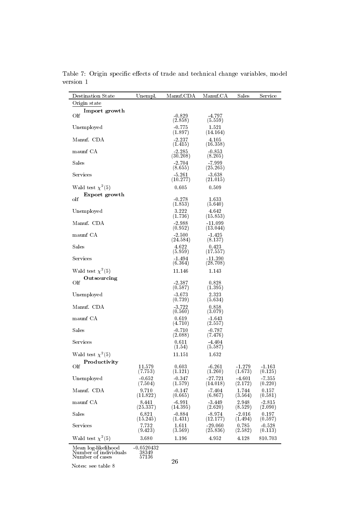| <b>Destination State</b>                                        | Unempl.                        | Manuf.CDA            | Manuf.CA              | Sales               | Service             |
|-----------------------------------------------------------------|--------------------------------|----------------------|-----------------------|---------------------|---------------------|
| Origin state                                                    |                                |                      |                       |                     |                     |
| Import growth<br>Olf                                            |                                | $-0.829$<br>(2.858)  | -4.797<br>(5.559)     |                     |                     |
| Unemployed                                                      |                                | $-0.775$<br>(1.897)  | 1.521<br>(14.164)     |                     |                     |
| Manuf. CDA                                                      |                                | -2.237<br>(1.415)    | 4.105<br>(16.358)     |                     |                     |
| maunf CA                                                        |                                | $-2.285$<br>(30.208) | $-0.853$<br>(8.205)   |                     |                     |
| Sales                                                           |                                | $-2.704$<br>(8.655)  | -7.999<br>(25.265)    |                     |                     |
| Services                                                        |                                | $-5.261$<br>(10.277) | $-3.638$<br>(21.015)  |                     |                     |
| Wald test $\chi^2(5)$<br>Export growth                          |                                | 0.605                | 0.509                 |                     |                     |
| olf                                                             |                                | $-0.278$<br>(1.853)  | 1.633<br>(5.640)      |                     |                     |
| Unemployed                                                      |                                | 3.222<br>(1.736)     | 4.642<br>(15.853)     |                     |                     |
| Manuf. CDA                                                      |                                | $-2.988$<br>(0.952)  | $-11.099$<br>(13.044) |                     |                     |
| maunf CA                                                        |                                | $-2.500$<br>(24.584) | $-1.425$<br>(8.137)   |                     |                     |
| Sales                                                           |                                | 4.622<br>(5.959)     | 0.423<br>(17.557)     |                     |                     |
| Services                                                        |                                | -1.494<br>(6.364)    | $-11.390$<br>(28.708) |                     |                     |
| Wald test $\chi^2(5)$<br>Outsourcing                            |                                | 11.146               | 1.143                 |                     |                     |
| Olf                                                             |                                | -2.387<br>(0.587)    | 0.828<br>(1.395)      |                     |                     |
| Unemployed                                                      |                                | -3.673<br>(0.739)    | 2.323<br>(5.634)      |                     |                     |
| Manuf. CDA                                                      |                                | $-3.722$<br>(0.560)  | 0.858<br>(3.079)      |                     |                     |
| maunf CA                                                        |                                | 0.619<br>(4.710)     | $-1.643$<br>(2.557)   |                     |                     |
| Sales                                                           |                                | $-0.710$<br>(2.088)  | $-0.787$<br>(7.476)   |                     |                     |
| Services                                                        |                                | 0.611<br>(1.54)      | $-4.404$<br>(5.587)   |                     |                     |
| Wald test $\chi^2(5)$                                           |                                | 11.151               | 1.632                 |                     |                     |
| Productivity<br>Olf                                             | 11.579<br>(7.753)              | 0.603<br>(1.121)     | $-6.261$<br>(1.260)   | $-1.279$<br>(1.673) | $-1.163$<br>(0.125) |
| Unemployed                                                      | $-0.652$<br>(7.504)            | $-0.347$<br>(1.579)  | $-27.721$<br>(14.018) | $-4.601$<br>(2.172) | $-7.355$<br>(0.220) |
| Manuf. CDA                                                      | 9.710<br>(11.822)              | $-0.147$<br>(0.665)  | -7.404<br>(6.867)     | 1.744<br>(3.564)    | 0.157<br>(0.581)    |
| maunf CA                                                        | 8.441<br>(25.337)              | $-6.991$<br>(14.395) | $-3.449$<br>(2.620)   | 2.948<br>(8.529)    | $-2.815$<br>(2.090) |
| Sales                                                           | 6.821<br>(15.245)              | $-0.884$<br>(1.431)  | $-8.974$<br>(12.177)  | $-2.016$<br>(1.494) | 0.197<br>(0.597)    |
| Services                                                        | 7.732<br>(9.423)               | 1.611<br>(3.569)     | $-29.060$<br>(25.836) | 0.785<br>(2.582)    | $-0.528$<br>(0.113) |
| Wald test $\chi^2(5)$                                           | 3.680                          | 1.196                | 4.952                 | 4.128               | 810.703             |
| Mean log-likelihood<br>Number of individuals<br>Number of cases | $-0.0520432$<br>38349<br>57136 | $\Omega$             |                       |                     |                     |

Table 7: Origin specific effects of trade and technical change variables, model version 1

Notes: see table  $8\,$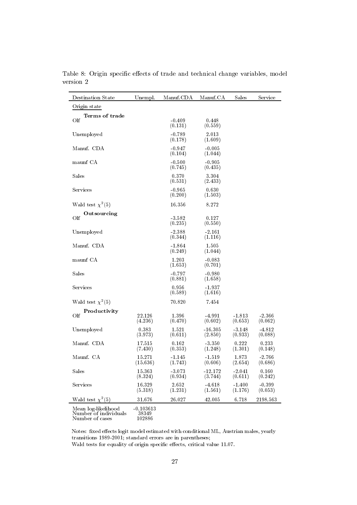| <b>Destination State</b> | Unempl.            | Manuf.CDA           | Manuf.CA             | Sales               | Service             |
|--------------------------|--------------------|---------------------|----------------------|---------------------|---------------------|
| Origin state             |                    |                     |                      |                     |                     |
| Terms of trade<br>Olf    |                    | $-0.409$<br>(0.131) | 0.448<br>(0.559)     |                     |                     |
| Unemployed               |                    | $-0.789$<br>(0.178) | 2.013<br>(1.609)     |                     |                     |
| Manuf. CDA               |                    | $-0.947$<br>(0.104) | $-0.005$<br>(1.044)  |                     |                     |
| maunf CA                 |                    | $-0.500$<br>(0.745) | $-0.905$<br>(0.435)  |                     |                     |
| Sales                    |                    | 0.370<br>(0.531)    | 3.304<br>(2.433)     |                     |                     |
| Services                 |                    | $-0.965$<br>(0.200) | 0.630<br>(1.503)     |                     |                     |
| Wald test $\chi^2(5)$    |                    | 16.356              | 8.272                |                     |                     |
| Outsourcing<br>Olf       |                    | $-3.582$<br>(0.235) | 0.127<br>(0.550)     |                     |                     |
| Unemployed               |                    | $-2.388$<br>(0.344) | $-2.161$<br>(1.116)  |                     |                     |
| Manuf. CDA               |                    | $-1.864$<br>(0.249) | 1.505<br>(1.044)     |                     |                     |
| maunf CA                 |                    | 1.203<br>(1.653)    | $-0.083$<br>(0.701)  |                     |                     |
| Sales                    |                    | $-0.797$<br>(0.881) | $-0.980$<br>(1.658)  |                     |                     |
| Services                 |                    | 0.956<br>(0.589)    | $-1.937$<br>(1.616)  |                     |                     |
| Wald test $\chi^2(5)$    |                    | 70.820              | 7.454                |                     |                     |
| Productivity             |                    |                     |                      |                     |                     |
| Olf                      | 22.126<br>(4.236)  | 1.396<br>(0.470)    | $-4.991$<br>(0.602)  | $-1.813$<br>(0.653) | $-2.366$<br>(0.062) |
| Unemployed               | 0.383<br>(3.973)   | 1.521<br>(0.611)    | $-16.305$<br>(2.850) | $-3.148$<br>(0.933) | -4.812<br>(0.088)   |
| Manuf. CDA               | 17.515<br>(7.430)  | 0.162<br>(0.353)    | $-3.350$<br>(1.248)  | 0.222<br>(1.301)    | 0.233<br>(0.148)    |
| Maunf. CA                | 15.271<br>(15.636) | $-1.145$<br>(1.743) | $-1.519$<br>(0.606)  | 1.873<br>(2.654)    | $-2.766$<br>(0.686) |
| Sales                    | 15.363<br>(8.324)  | $-3.073$<br>(0.934) | $-12.172$<br>(3.744) | $-2.041$<br>(0.611) | 0.160<br>(0.242)    |
| Services                 | 16.329<br>(5.318)  | 2.652<br>(1.231)    | $-4.618$<br>(1.561)  | $-1.400$<br>(1.176) | $-0.399$<br>(0.053) |
| Wald test $\chi^2(5)$    | 31.676             | 26.027              | 42.005               | 6.718               | 2198.563            |
| Mean log-likelihood      | -0.103613          |                     |                      |                     |                     |

Table 8: Origin specific effects of trade and technical change variables, model  $\,$  version  $\,2$ 

Mean log-likelihood<br>Number of individuals<br>Number of cases u.10361;<br>38349<br>102886

Notes: fixed effects logit model estimated with conditional ML, Austrian males, yearly transitions 1989-2001; standard errors are in parentheses; Wald tests for equality of origin specific effects, critical value 11.07.